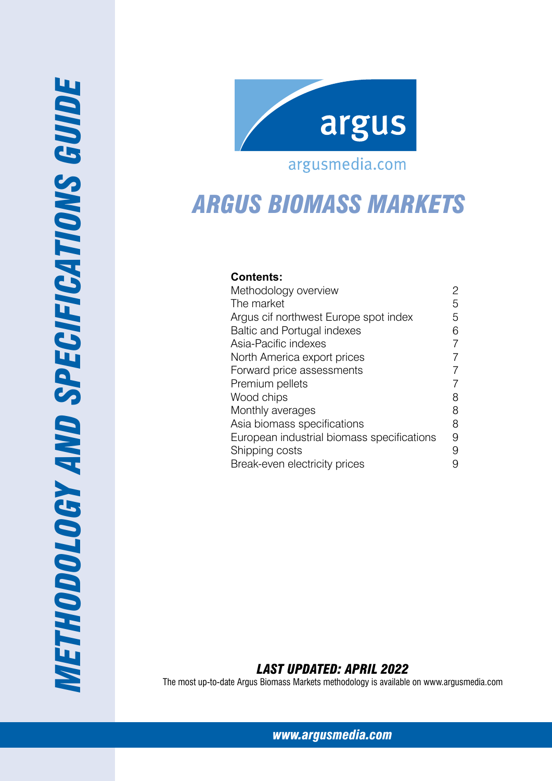

## argusmedia.com

# *ARGUS Biomass Markets*

## **Contents:**

| Methodology overview                       | 2 |
|--------------------------------------------|---|
| The market                                 | 5 |
| Argus cif northwest Europe spot index      | 5 |
| <b>Baltic and Portugal indexes</b>         | 6 |
| Asia-Pacific indexes                       | 7 |
| North America export prices                | 7 |
| Forward price assessments                  | 7 |
| Premium pellets                            | 7 |
| Wood chips                                 | 8 |
| Monthly averages                           | 8 |
| Asia biomass specifications                | 8 |
| European industrial biomass specifications | 9 |
| Shipping costs                             | 9 |
| Break-even electricity prices              | 9 |

*Last Updated: April 2022*

The most up-to-date Argus Biomass Markets methodology is available on www.argusmedia.com

*www.argusmedia.com*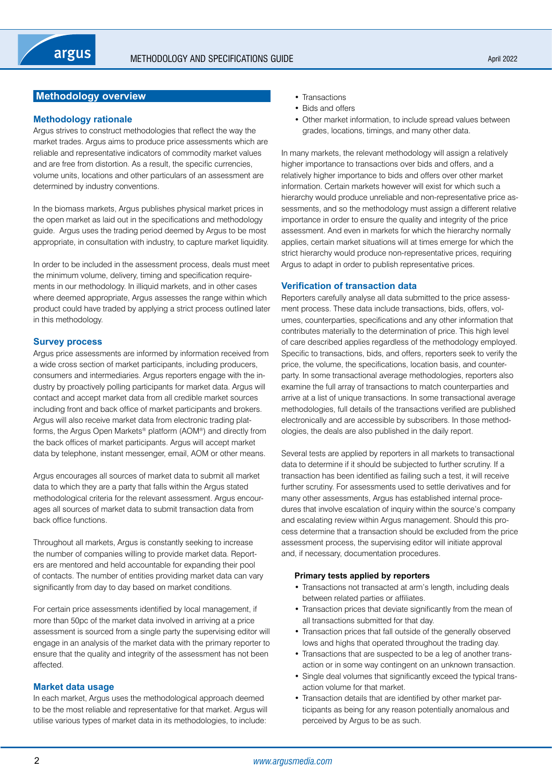## <span id="page-1-0"></span>**Methodology overview**

## **Methodology rationale**

Argus strives to construct methodologies that reflect the way the market trades. Argus aims to produce price assessments which are reliable and representative indicators of commodity market values and are free from distortion. As a result, the specific currencies, volume units, locations and other particulars of an assessment are determined by industry conventions.

In the biomass markets, Argus publishes physical market prices in the open market as laid out in the specifications and methodology guide. Argus uses the trading period deemed by Argus to be most appropriate, in consultation with industry, to capture market liquidity.

In order to be included in the assessment process, deals must meet the minimum volume, delivery, timing and specification requirements in our methodology. In illiquid markets, and in other cases where deemed appropriate, Argus assesses the range within which product could have traded by applying a strict process outlined later in this methodology.

## **Survey process**

Argus price assessments are informed by information received from a wide cross section of market participants, including producers, consumers and intermediaries. Argus reporters engage with the industry by proactively polling participants for market data. Argus will contact and accept market data from all credible market sources including front and back office of market participants and brokers. Argus will also receive market data from electronic trading platforms, the Argus Open Markets® platform (AOM®) and directly from the back offices of market participants. Argus will accept market data by telephone, instant messenger, email, AOM or other means.

Argus encourages all sources of market data to submit all market data to which they are a party that falls within the Argus stated methodological criteria for the relevant assessment. Argus encourages all sources of market data to submit transaction data from back office functions.

Throughout all markets, Argus is constantly seeking to increase the number of companies willing to provide market data. Reporters are mentored and held accountable for expanding their pool of contacts. The number of entities providing market data can vary significantly from day to day based on market conditions.

For certain price assessments identified by local management, if more than 50pc of the market data involved in arriving at a price assessment is sourced from a single party the supervising editor will engage in an analysis of the market data with the primary reporter to ensure that the quality and integrity of the assessment has not been affected.

#### **Market data usage**

In each market, Argus uses the methodological approach deemed to be the most reliable and representative for that market. Argus will utilise various types of market data in its methodologies, to include:

- Transactions
- Bids and offers
- Other market information, to include spread values between grades, locations, timings, and many other data.

In many markets, the relevant methodology will assign a relatively higher importance to transactions over bids and offers, and a relatively higher importance to bids and offers over other market information. Certain markets however will exist for which such a hierarchy would produce unreliable and non-representative price assessments, and so the methodology must assign a different relative importance in order to ensure the quality and integrity of the price assessment. And even in markets for which the hierarchy normally applies, certain market situations will at times emerge for which the strict hierarchy would produce non-representative prices, requiring Argus to adapt in order to publish representative prices.

## **Verification of transaction data**

Reporters carefully analyse all data submitted to the price assessment process. These data include transactions, bids, offers, volumes, counterparties, specifications and any other information that contributes materially to the determination of price. This high level of care described applies regardless of the methodology employed. Specific to transactions, bids, and offers, reporters seek to verify the price, the volume, the specifications, location basis, and counterparty. In some transactional average methodologies, reporters also examine the full array of transactions to match counterparties and arrive at a list of unique transactions. In some transactional average methodologies, full details of the transactions verified are published electronically and are accessible by subscribers. In those methodologies, the deals are also published in the daily report.

Several tests are applied by reporters in all markets to transactional data to determine if it should be subjected to further scrutiny. If a transaction has been identified as failing such a test, it will receive further scrutiny. For assessments used to settle derivatives and for many other assessments, Argus has established internal procedures that involve escalation of inquiry within the source's company and escalating review within Argus management. Should this process determine that a transaction should be excluded from the price assessment process, the supervising editor will initiate approval and, if necessary, documentation procedures.

#### **Primary tests applied by reporters**

- Transactions not transacted at arm's length, including deals between related parties or affiliates.
- Transaction prices that deviate significantly from the mean of all transactions submitted for that day.
- Transaction prices that fall outside of the generally observed lows and highs that operated throughout the trading day.
- Transactions that are suspected to be a leg of another transaction or in some way contingent on an unknown transaction.
- Single deal volumes that significantly exceed the typical transaction volume for that market.
- Transaction details that are identified by other market participants as being for any reason potentially anomalous and perceived by Argus to be as such.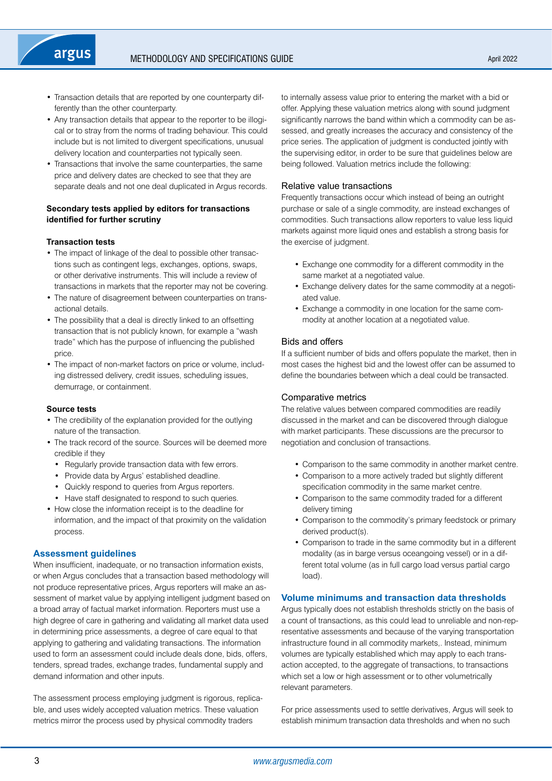- Transaction details that are reported by one counterparty differently than the other counterparty.
- Any transaction details that appear to the reporter to be illogical or to stray from the norms of trading behaviour. This could include but is not limited to divergent specifications, unusual delivery location and counterparties not typically seen.
- Transactions that involve the same counterparties, the same price and delivery dates are checked to see that they are separate deals and not one deal duplicated in Argus records.

## **Secondary tests applied by editors for transactions identified for further scrutiny**

## **Transaction tests**

- The impact of linkage of the deal to possible other transactions such as contingent legs, exchanges, options, swaps, or other derivative instruments. This will include a review of transactions in markets that the reporter may not be covering.
- The nature of disagreement between counterparties on transactional details.
- The possibility that a deal is directly linked to an offsetting transaction that is not publicly known, for example a "wash trade" which has the purpose of influencing the published price.
- The impact of non-market factors on price or volume, including distressed delivery, credit issues, scheduling issues, demurrage, or containment.

#### **Source tests**

- The credibility of the explanation provided for the outlying nature of the transaction.
- The track record of the source. Sources will be deemed more credible if they
	- Regularly provide transaction data with few errors.
	- Provide data by Argus' established deadline.
	- Quickly respond to queries from Argus reporters.
- Have staff designated to respond to such queries.
- How close the information receipt is to the deadline for information, and the impact of that proximity on the validation process.

## **Assessment guidelines**

When insufficient, inadequate, or no transaction information exists, or when Argus concludes that a transaction based methodology will not produce representative prices, Argus reporters will make an assessment of market value by applying intelligent judgment based on a broad array of factual market information. Reporters must use a high degree of care in gathering and validating all market data used in determining price assessments, a degree of care equal to that applying to gathering and validating transactions. The information used to form an assessment could include deals done, bids, offers, tenders, spread trades, exchange trades, fundamental supply and demand information and other inputs.

The assessment process employing judgment is rigorous, replicable, and uses widely accepted valuation metrics. These valuation metrics mirror the process used by physical commodity traders

to internally assess value prior to entering the market with a bid or offer. Applying these valuation metrics along with sound judgment significantly narrows the band within which a commodity can be assessed, and greatly increases the accuracy and consistency of the price series. The application of judgment is conducted jointly with the supervising editor, in order to be sure that guidelines below are being followed. Valuation metrics include the following:

## Relative value transactions

Frequently transactions occur which instead of being an outright purchase or sale of a single commodity, are instead exchanges of commodities. Such transactions allow reporters to value less liquid markets against more liquid ones and establish a strong basis for the exercise of judgment.

- Exchange one commodity for a different commodity in the same market at a negotiated value.
- Exchange delivery dates for the same commodity at a negotiated value.
- Exchange a commodity in one location for the same commodity at another location at a negotiated value.

## Bids and offers

If a sufficient number of bids and offers populate the market, then in most cases the highest bid and the lowest offer can be assumed to define the boundaries between which a deal could be transacted.

## Comparative metrics

The relative values between compared commodities are readily discussed in the market and can be discovered through dialogue with market participants. These discussions are the precursor to negotiation and conclusion of transactions.

- Comparison to the same commodity in another market centre.
- Comparison to a more actively traded but slightly different specification commodity in the same market centre.
- Comparison to the same commodity traded for a different delivery timing
- Comparison to the commodity's primary feedstock or primary derived product(s).
- Comparison to trade in the same commodity but in a different modality (as in barge versus oceangoing vessel) or in a different total volume (as in full cargo load versus partial cargo load).

## **Volume minimums and transaction data thresholds**

Argus typically does not establish thresholds strictly on the basis of a count of transactions, as this could lead to unreliable and non-representative assessments and because of the varying transportation infrastructure found in all commodity markets,. Instead, minimum volumes are typically established which may apply to each transaction accepted, to the aggregate of transactions, to transactions which set a low or high assessment or to other volumetrically relevant parameters.

For price assessments used to settle derivatives, Argus will seek to establish minimum transaction data thresholds and when no such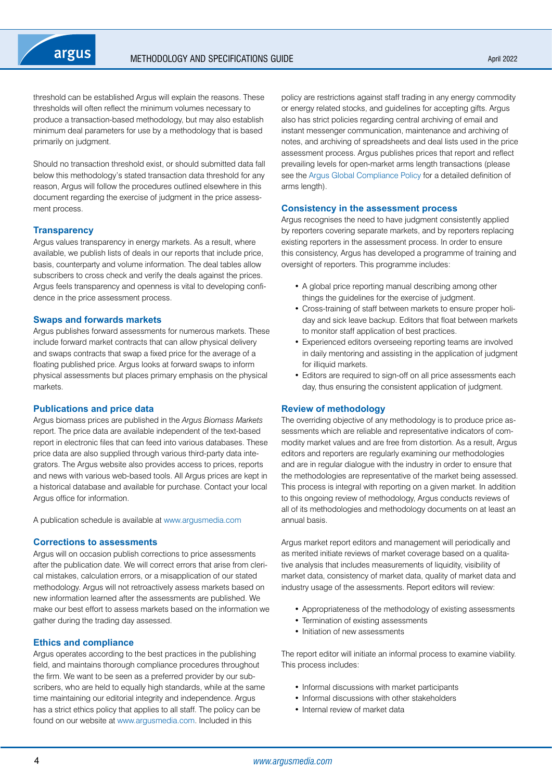threshold can be established Argus will explain the reasons. These thresholds will often reflect the minimum volumes necessary to produce a transaction-based methodology, but may also establish minimum deal parameters for use by a methodology that is based primarily on judgment.

Should no transaction threshold exist, or should submitted data fall below this methodology's stated transaction data threshold for any reason, Argus will follow the procedures outlined elsewhere in this document regarding the exercise of judgment in the price assessment process.

## **Transparency**

Argus values transparency in energy markets. As a result, where available, we publish lists of deals in our reports that include price, basis, counterparty and volume information. The deal tables allow subscribers to cross check and verify the deals against the prices. Argus feels transparency and openness is vital to developing confidence in the price assessment process.

#### **Swaps and forwards markets**

Argus publishes forward assessments for numerous markets. These include forward market contracts that can allow physical delivery and swaps contracts that swap a fixed price for the average of a floating published price. Argus looks at forward swaps to inform physical assessments but places primary emphasis on the physical markets.

#### **Publications and price data**

Argus biomass prices are published in the *Argus Biomass Markets*  report. The price data are available independent of the text-based report in electronic files that can feed into various databases. These price data are also supplied through various third-party data integrators. The Argus website also provides access to prices, reports and news with various web-based tools. All Argus prices are kept in a historical database and available for purchase. Contact your local Argus office for information.

A publication schedule is available at [www.argusmedia.com](https://www.argusmedia.com/en)

## **Corrections to assessments**

Argus will on occasion publish corrections to price assessments after the publication date. We will correct errors that arise from clerical mistakes, calculation errors, or a misapplication of our stated methodology. Argus will not retroactively assess markets based on new information learned after the assessments are published. We make our best effort to assess markets based on the information we gather during the trading day assessed.

#### **Ethics and compliance**

Argus operates according to the best practices in the publishing field, and maintains thorough compliance procedures throughout the firm. We want to be seen as a preferred provider by our subscribers, who are held to equally high standards, while at the same time maintaining our editorial integrity and independence. Argus has a strict ethics policy that applies to all staff. The policy can be found on our website at [www.argusmedia.com](https://www.argusmedia.com/en). Included in this

policy are restrictions against staff trading in any energy commodity or energy related stocks, and guidelines for accepting gifts. Argus also has strict policies regarding central archiving of email and instant messenger communication, maintenance and archiving of notes, and archiving of spreadsheets and deal lists used in the price assessment process. Argus publishes prices that report and reflect prevailing levels for open-market arms length transactions (please see the [Argus Global Compliance Policy](https://www.argusmedia.com/-/media/Files/governance-and-compliance/global-compliance.ashx?la=en&hash=DB833EADC2BC60A7B262FC13D5E6A4B46CCDAB1E) for a detailed definition of arms length).

## **Consistency in the assessment process**

Argus recognises the need to have judgment consistently applied by reporters covering separate markets, and by reporters replacing existing reporters in the assessment process. In order to ensure this consistency, Argus has developed a programme of training and oversight of reporters. This programme includes:

- A global price reporting manual describing among other things the guidelines for the exercise of judgment.
- Cross-training of staff between markets to ensure proper holiday and sick leave backup. Editors that float between markets to monitor staff application of best practices.
- Experienced editors overseeing reporting teams are involved in daily mentoring and assisting in the application of judgment for illiquid markets.
- Editors are required to sign-off on all price assessments each day, thus ensuring the consistent application of judgment.

#### **Review of methodology**

The overriding objective of any methodology is to produce price assessments which are reliable and representative indicators of commodity market values and are free from distortion. As a result, Argus editors and reporters are regularly examining our methodologies and are in regular dialogue with the industry in order to ensure that the methodologies are representative of the market being assessed. This process is integral with reporting on a given market. In addition to this ongoing review of methodology, Argus conducts reviews of all of its methodologies and methodology documents on at least an annual basis.

Argus market report editors and management will periodically and as merited initiate reviews of market coverage based on a qualitative analysis that includes measurements of liquidity, visibility of market data, consistency of market data, quality of market data and industry usage of the assessments. Report editors will review:

- Appropriateness of the methodology of existing assessments
- Termination of existing assessments
- Initiation of new assessments

The report editor will initiate an informal process to examine viability. This process includes:

- Informal discussions with market participants
- Informal discussions with other stakeholders
- Internal review of market data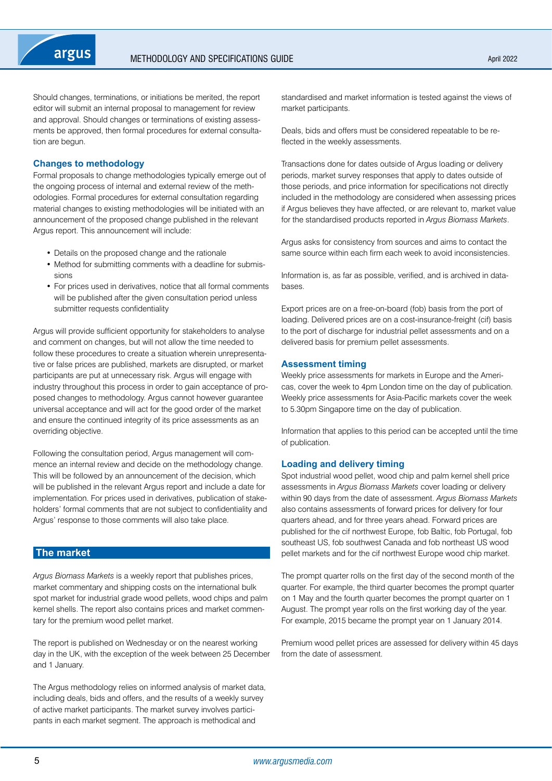<span id="page-4-0"></span>Should changes, terminations, or initiations be merited, the report editor will submit an internal proposal to management for review and approval. Should changes or terminations of existing assessments be approved, then formal procedures for external consultation are begun.

## **Changes to methodology**

Formal proposals to change methodologies typically emerge out of the ongoing process of internal and external review of the methodologies. Formal procedures for external consultation regarding material changes to existing methodologies will be initiated with an announcement of the proposed change published in the relevant Argus report. This announcement will include:

- Details on the proposed change and the rationale
- Method for submitting comments with a deadline for submissions
- For prices used in derivatives, notice that all formal comments will be published after the given consultation period unless submitter requests confidentiality

Argus will provide sufficient opportunity for stakeholders to analyse and comment on changes, but will not allow the time needed to follow these procedures to create a situation wherein unrepresentative or false prices are published, markets are disrupted, or market participants are put at unnecessary risk. Argus will engage with industry throughout this process in order to gain acceptance of proposed changes to methodology. Argus cannot however guarantee universal acceptance and will act for the good order of the market and ensure the continued integrity of its price assessments as an overriding objective.

Following the consultation period, Argus management will commence an internal review and decide on the methodology change. This will be followed by an announcement of the decision, which will be published in the relevant Argus report and include a date for implementation. For prices used in derivatives, publication of stakeholders' formal comments that are not subject to confidentiality and Argus' response to those comments will also take place.

## **The market**

*Argus Biomass Markets* is a weekly report that publishes prices, market commentary and shipping costs on the international bulk spot market for industrial grade wood pellets, wood chips and palm kernel shells. The report also contains prices and market commentary for the premium wood pellet market.

The report is published on Wednesday or on the nearest working day in the UK, with the exception of the week between 25 December and 1 January.

The Argus methodology relies on informed analysis of market data, including deals, bids and offers, and the results of a weekly survey of active market participants. The market survey involves participants in each market segment. The approach is methodical and

standardised and market information is tested against the views of market participants.

Deals, bids and offers must be considered repeatable to be reflected in the weekly assessments.

Transactions done for dates outside of Argus loading or delivery periods, market survey responses that apply to dates outside of those periods, and price information for specifications not directly included in the methodology are considered when assessing prices if Argus believes they have affected, or are relevant to, market value for the standardised products reported in *Argus Biomass Markets*.

Argus asks for consistency from sources and aims to contact the same source within each firm each week to avoid inconsistencies.

Information is, as far as possible, verified, and is archived in databases.

Export prices are on a free-on-board (fob) basis from the port of loading. Delivered prices are on a cost-insurance-freight (cif) basis to the port of discharge for industrial pellet assessments and on a delivered basis for premium pellet assessments.

## **Assessment timing**

Weekly price assessments for markets in Europe and the Americas, cover the week to 4pm London time on the day of publication. Weekly price assessments for Asia-Pacific markets cover the week to 5.30pm Singapore time on the day of publication.

Information that applies to this period can be accepted until the time of publication.

## **Loading and delivery timing**

Spot industrial wood pellet, wood chip and palm kernel shell price assessments in *Argus Biomass Markets* cover loading or delivery within 90 days from the date of assessment. *Argus Biomass Markets* also contains assessments of forward prices for delivery for four quarters ahead, and for three years ahead. Forward prices are published for the cif northwest Europe, fob Baltic, fob Portugal, fob southeast US, fob southwest Canada and fob northeast US wood pellet markets and for the cif northwest Europe wood chip market.

The prompt quarter rolls on the first day of the second month of the quarter. For example, the third quarter becomes the prompt quarter on 1 May and the fourth quarter becomes the prompt quarter on 1 August. The prompt year rolls on the first working day of the year. For example, 2015 became the prompt year on 1 January 2014.

Premium wood pellet prices are assessed for delivery within 45 days from the date of assessment.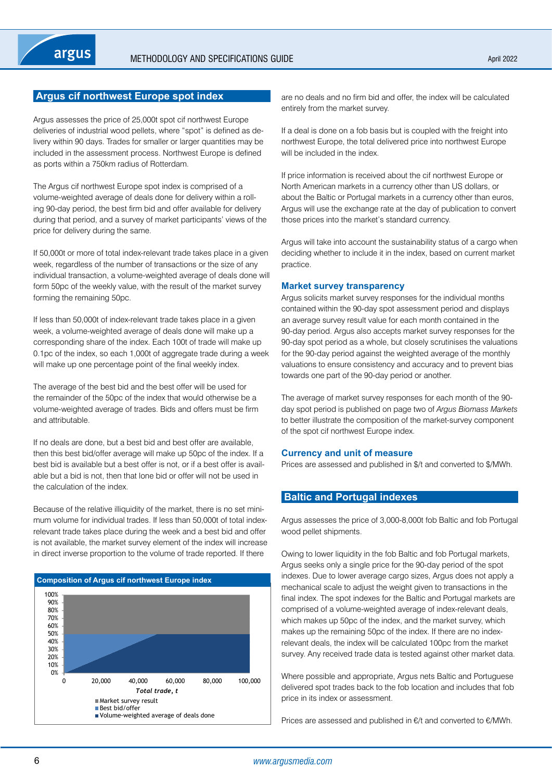## <span id="page-5-0"></span>**Argus cif northwest Europe spot index**

Argus assesses the price of 25,000t spot cif northwest Europe deliveries of industrial wood pellets, where "spot" is defined as delivery within 90 days. Trades for smaller or larger quantities may be included in the assessment process. Northwest Europe is defined as ports within a 750km radius of Rotterdam.

The Argus cif northwest Europe spot index is comprised of a volume-weighted average of deals done for delivery within a rolling 90-day period, the best firm bid and offer available for delivery during that period, and a survey of market participants' views of the price for delivery during the same.

If 50,000t or more of total index-relevant trade takes place in a given week, regardless of the number of transactions or the size of any individual transaction, a volume-weighted average of deals done will form 50pc of the weekly value, with the result of the market survey forming the remaining 50pc.

If less than 50,000t of index-relevant trade takes place in a given week, a volume-weighted average of deals done will make up a corresponding share of the index. Each 100t of trade will make up 0.1pc of the index, so each 1,000t of aggregate trade during a week will make up one percentage point of the final weekly index.

The average of the best bid and the best offer will be used for the remainder of the 50pc of the index that would otherwise be a volume-weighted average of trades. Bids and offers must be firm and attributable.

If no deals are done, but a best bid and best offer are available, then this best bid/offer average will make up 50pc of the index. If a best bid is available but a best offer is not, or if a best offer is available but a bid is not, then that lone bid or offer will not be used in the calculation of the index.

Because of the relative illiquidity of the market, there is no set minimum volume for individual trades. If less than 50,000t of total indexrelevant trade takes place during the week and a best bid and offer is not available, the market survey element of the index will increase in direct inverse proportion to the volume of trade reported. If there



are no deals and no firm bid and offer, the index will be calculated entirely from the market survey.

If a deal is done on a fob basis but is coupled with the freight into northwest Europe, the total delivered price into northwest Europe will be included in the index.

If price information is received about the cif northwest Europe or North American markets in a currency other than US dollars, or about the Baltic or Portugal markets in a currency other than euros, Argus will use the exchange rate at the day of publication to convert those prices into the market's standard currency.

Argus will take into account the sustainability status of a cargo when deciding whether to include it in the index, based on current market practice.

#### **Market survey transparency**

Argus solicits market survey responses for the individual months contained within the 90-day spot assessment period and displays an average survey result value for each month contained in the 90-day period. Argus also accepts market survey responses for the 90-day spot period as a whole, but closely scrutinises the valuations for the 90-day period against the weighted average of the monthly valuations to ensure consistency and accuracy and to prevent bias towards one part of the 90-day period or another.

The average of market survey responses for each month of the 90 day spot period is published on page two of *Argus Biomass Markets* to better illustrate the composition of the market-survey component of the spot cif northwest Europe index.

#### **Currency and unit of measure**

Prices are assessed and published in \$/t and converted to \$/MWh.

## **Baltic and Portugal indexes**

Argus assesses the price of 3,000-8,000t fob Baltic and fob Portugal wood pellet shipments.

Owing to lower liquidity in the fob Baltic and fob Portugal markets, Argus seeks only a single price for the 90-day period of the spot indexes. Due to lower average cargo sizes, Argus does not apply a mechanical scale to adjust the weight given to transactions in the final index. The spot indexes for the Baltic and Portugal markets are comprised of a volume-weighted average of index-relevant deals, which makes up 50pc of the index, and the market survey, which makes up the remaining 50pc of the index. If there are no indexrelevant deals, the index will be calculated 100pc from the market survey. Any received trade data is tested against other market data.

Where possible and appropriate, Argus nets Baltic and Portuguese delivered spot trades back to the fob location and includes that fob price in its index or assessment.

Prices are assessed and published in €/t and converted to €/MWh.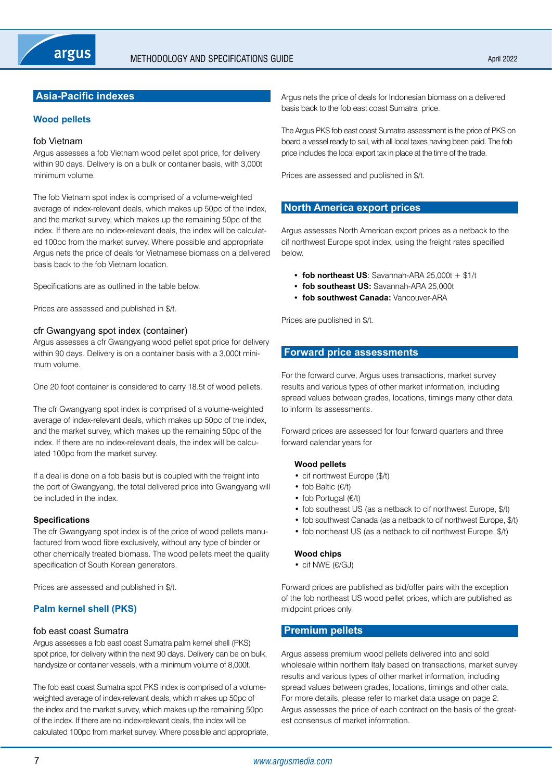## <span id="page-6-0"></span>**Asia-Pacific indexes**

## **Wood pellets**

#### fob Vietnam

Argus assesses a fob Vietnam wood pellet spot price, for delivery within 90 days. Delivery is on a bulk or container basis, with 3,000t minimum volume.

The fob Vietnam spot index is comprised of a volume-weighted average of index-relevant deals, which makes up 50pc of the index, and the market survey, which makes up the remaining 50pc of the index. If there are no index-relevant deals, the index will be calculated 100pc from the market survey. Where possible and appropriate Argus nets the price of deals for Vietnamese biomass on a delivered basis back to the fob Vietnam location.

Specifications are as outlined in the table below.

Prices are assessed and published in \$/t.

## cfr Gwangyang spot index (container)

Argus assesses a cfr Gwangyang wood pellet spot price for delivery within 90 days. Delivery is on a container basis with a 3,000t minimum volume.

One 20 foot container is considered to carry 18.5t of wood pellets.

The cfr Gwangyang spot index is comprised of a volume-weighted average of index-relevant deals, which makes up 50pc of the index, and the market survey, which makes up the remaining 50pc of the index. If there are no index-relevant deals, the index will be calculated 100pc from the market survey.

If a deal is done on a fob basis but is coupled with the freight into the port of Gwangyang, the total delivered price into Gwangyang will be included in the index.

#### **Specifications**

The cfr Gwangyang spot index is of the price of wood pellets manufactured from wood fibre exclusively, without any type of binder or other chemically treated biomass. The wood pellets meet the quality specification of South Korean generators.

Prices are assessed and published in \$/t.

## **Palm kernel shell (PKS)**

## fob east coast Sumatra

Argus assesses a fob east coast Sumatra palm kernel shell (PKS) spot price, for delivery within the next 90 days. Delivery can be on bulk, handysize or container vessels, with a minimum volume of 8,000t.

The fob east coast Sumatra spot PKS index is comprised of a volumeweighted average of index-relevant deals, which makes up 50pc of the index and the market survey, which makes up the remaining 50pc of the index. If there are no index-relevant deals, the index will be calculated 100pc from market survey. Where possible and appropriate, Argus nets the price of deals for Indonesian biomass on a delivered basis back to the fob east coast Sumatra price.

The Argus PKS fob east coast Sumatra assessment is the price of PKS on board a vessel ready to sail, with all local taxes having been paid. The fob price includes the local export tax in place at the time of the trade.

Prices are assessed and published in \$/t.

## **North America export prices**

Argus assesses North American export prices as a netback to the cif northwest Europe spot index, using the freight rates specified below.

- **• fob northeast US**: Savannah-ARA 25,000t + \$1/t
- **• fob southeast US:** Savannah-ARA 25,000t
- **• fob southwest Canada:** Vancouver-ARA

Prices are published in \$/t.

## **Forward price assessments**

For the forward curve, Argus uses transactions, market survey results and various types of other market information, including spread values between grades, locations, timings many other data to inform its assessments.

Forward prices are assessed for four forward quarters and three forward calendar years for

#### **Wood pellets**

- cif northwest Europe (\$/t)
- fob Baltic (€/t)
- fob Portugal (€/t)
- fob southeast US (as a netback to cif northwest Europe, \$/t)
- fob southwest Canada (as a netback to cif northwest Europe, \$/t)
- fob northeast US (as a netback to cif northwest Europe, \$/t)

## **Wood chips**

• cif NWE (€/GJ)

Forward prices are published as bid/offer pairs with the exception of the fob northeast US wood pellet prices, which are published as midpoint prices only.

## **Premium pellets**

Argus assess premium wood pellets delivered into and sold wholesale within northern Italy based on transactions, market survey results and various types of other market information, including spread values between grades, locations, timings and other data. For more details, please refer to market data usage on page 2. Argus assesses the price of each contract on the basis of the greatest consensus of market information.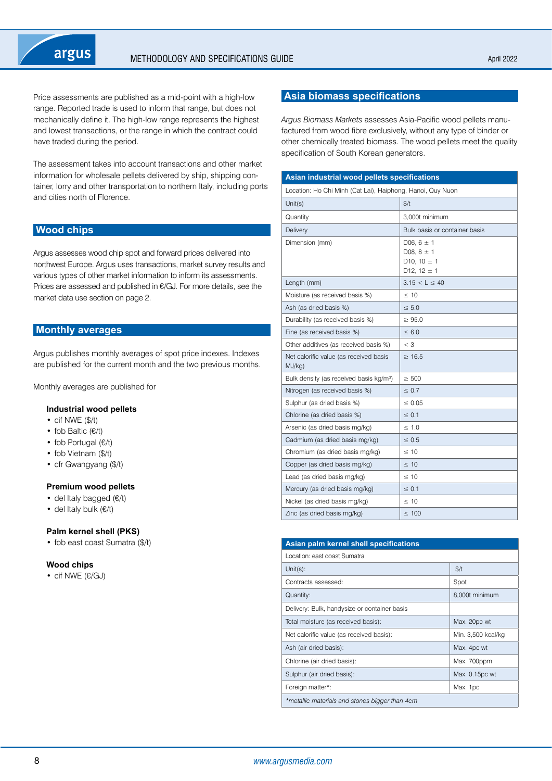<span id="page-7-0"></span>Price assessments are published as a mid-point with a high-low range. Reported trade is used to inform that range, but does not mechanically define it. The high-low range represents the highest and lowest transactions, or the range in which the contract could have traded during the period.

The assessment takes into account transactions and other market information for wholesale pellets delivered by ship, shipping container, lorry and other transportation to northern Italy, including ports and cities north of Florence.

## **Wood chips**

Argus assesses wood chip spot and forward prices delivered into northwest Europe. Argus uses transactions, market survey results and various types of other market information to inform its assessments. Prices are assessed and published in €/GJ. For more details, see the market data use section on page 2.

## **Monthly averages**

Argus publishes monthly averages of spot price indexes. Indexes are published for the current month and the two previous months.

Monthly averages are published for

#### **Industrial wood pellets**

- cif NWE (\$/t)
- fob Baltic (€/t)
- fob Portugal (€/t)
- fob Vietnam (\$/t)
- cfr Gwangyang (\$/t)

#### **Premium wood pellets**

- del Italy bagged (€/t)
- del Italy bulk (€/t)

#### **Palm kernel shell (PKS)**

• fob east coast Sumatra (\$/t)

#### **Wood chips**

• cif NWE (€/GJ)

## **Asia biomass specifications**

*Argus Biomass Markets* assesses Asia-Pacific wood pellets manufactured from wood fibre exclusively, without any type of binder or other chemically treated biomass. The wood pellets meet the quality specification of South Korean generators.

| Asian industrial wood pellets specifications               |                                                                                                  |  |  |  |
|------------------------------------------------------------|--------------------------------------------------------------------------------------------------|--|--|--|
| Location: Ho Chi Minh (Cat Lai), Haiphong, Hanoi, Quy Nuon |                                                                                                  |  |  |  |
| Unit $(s)$                                                 | \$/t                                                                                             |  |  |  |
| Quantity                                                   | 3.000t minimum                                                                                   |  |  |  |
| Delivery                                                   | Bulk basis or container basis                                                                    |  |  |  |
| Dimension (mm)                                             | D06, $6 \pm 1$<br>D08, $8 \pm 1$<br>D <sub>10</sub> , $10 \pm 1$<br>D <sub>12</sub> , $12 \pm 1$ |  |  |  |
| Length (mm)                                                | $3.15 < L \le 40$                                                                                |  |  |  |
| Moisture (as received basis %)                             | $\leq 10$                                                                                        |  |  |  |
| Ash (as dried basis %)                                     | $\leq 5.0$                                                                                       |  |  |  |
| Durability (as received basis %)                           | $\geq 95.0$                                                                                      |  |  |  |
| Fine (as received basis %)                                 | $\leq 6.0$                                                                                       |  |  |  |
| Other additives (as received basis %)                      | $<$ 3                                                                                            |  |  |  |
| Net calorific value (as received basis<br>MJ/kg)           | $\geq 16.5$                                                                                      |  |  |  |
| Bulk density (as received basis kg/m <sup>3</sup> )        | $\geq 500$                                                                                       |  |  |  |
| Nitrogen (as received basis %)                             | $\leq 0.7$                                                                                       |  |  |  |
| Sulphur (as dried basis %)                                 | $\leq 0.05$                                                                                      |  |  |  |
| Chlorine (as dried basis %)                                | $\leq 0.1$                                                                                       |  |  |  |
| Arsenic (as dried basis mg/kg)                             | $\leq 1.0$                                                                                       |  |  |  |
| Cadmium (as dried basis mg/kg)                             | $\leq 0.5$                                                                                       |  |  |  |
| Chromium (as dried basis mg/kg)                            | $\leq 10$                                                                                        |  |  |  |
| Copper (as dried basis mg/kg)                              | $\leq 10$                                                                                        |  |  |  |
| Lead (as dried basis mg/kg)                                | $\leq 10$                                                                                        |  |  |  |
| Mercury (as dried basis mg/kg)                             | $\leq 0.1$                                                                                       |  |  |  |
| Nickel (as dried basis mg/kg)                              | $\leq 10$                                                                                        |  |  |  |
| Zinc (as dried basis mg/kg)                                | $\leq 100$                                                                                       |  |  |  |

| Asian palm kernel shell specifications         |                    |
|------------------------------------------------|--------------------|
| Location: east coast Sumatra                   |                    |
| Unit $(s)$ :                                   | \$/t               |
| Contracts assessed:                            | Spot               |
| Quantity:                                      | 8,000t minimum     |
| Delivery: Bulk, handysize or container basis   |                    |
| Total moisture (as received basis):            | Max. 20pc wt       |
| Net calorific value (as received basis):       | Min. 3,500 kcal/kg |
| Ash (air dried basis):                         | Max. 4pc wt        |
| Chlorine (air dried basis):                    | Max. 700ppm        |
| Sulphur (air dried basis):                     | Max. 0.15pc wt     |
| Foreign matter*:                               | Max. 1pc           |
| *metallic materials and stones bigger than 4cm |                    |